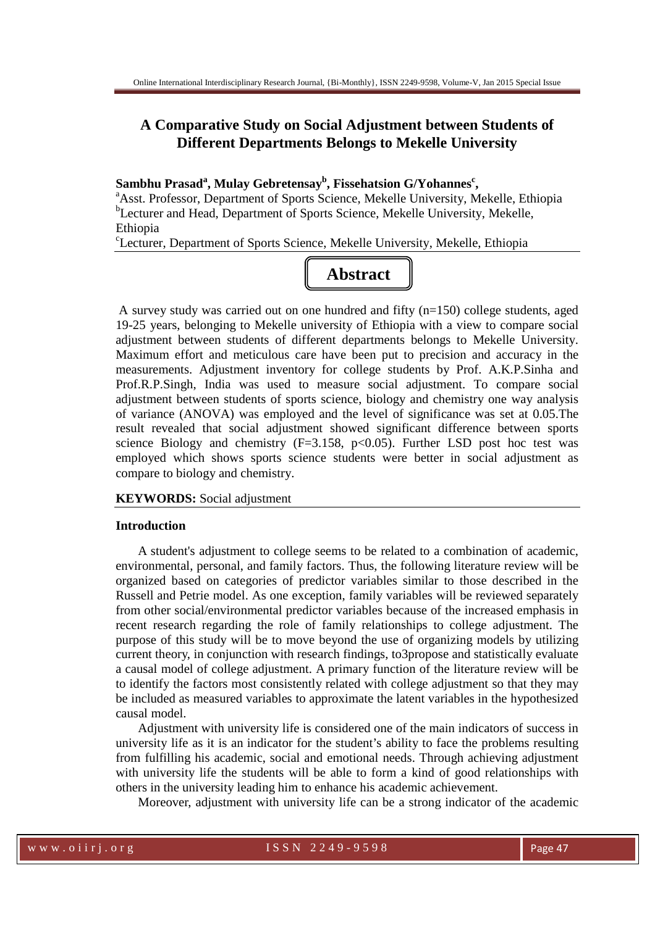# **A Comparative Study on Social Adjustment between Students of Different Departments Belongs to Mekelle University**

# **Sambhu Prasad<sup>a</sup> , Mulay Gebretensay<sup>b</sup> , Fissehatsion G/Yohannes<sup>c</sup> ,**

<sup>a</sup>Asst. Professor, Department of Sports Science, Mekelle University, Mekelle, Ethiopia <sup>b</sup>Lecturer and Head, Department of Sports Science, Mekelle University, Mekelle, Ethiopia

c Lecturer, Department of Sports Science, Mekelle University, Mekelle, Ethiopia



A survey study was carried out on one hundred and fifty (n=150) college students, aged 19-25 years, belonging to Mekelle university of Ethiopia with a view to compare social adjustment between students of different departments belongs to Mekelle University. Maximum effort and meticulous care have been put to precision and accuracy in the measurements. Adjustment inventory for college students by Prof. A.K.P.Sinha and Prof.R.P.Singh, India was used to measure social adjustment. To compare social adjustment between students of sports science, biology and chemistry one way analysis of variance (ANOVA) was employed and the level of significance was set at 0.05.The result revealed that social adjustment showed significant difference between sports science Biology and chemistry (F=3.158, p<0.05). Further LSD post hoc test was employed which shows sports science students were better in social adjustment as compare to biology and chemistry.

#### **KEYWORDS:** Social adjustment

## **Introduction**

A student's adjustment to college seems to be related to a combination of academic, environmental, personal, and family factors. Thus, the following literature review will be organized based on categories of predictor variables similar to those described in the Russell and Petrie model. As one exception, family variables will be reviewed separately from other social/environmental predictor variables because of the increased emphasis in recent research regarding the role of family relationships to college adjustment. The purpose of this study will be to move beyond the use of organizing models by utilizing current theory, in conjunction with research findings, to3propose and statistically evaluate a causal model of college adjustment. A primary function of the literature review will be to identify the factors most consistently related with college adjustment so that they may be included as measured variables to approximate the latent variables in the hypothesized causal model.

Adjustment with university life is considered one of the main indicators of success in university life as it is an indicator for the student's ability to face the problems resulting from fulfilling his academic, social and emotional needs. Through achieving adjustment with university life the students will be able to form a kind of good relationships with others in the university leading him to enhance his academic achievement.

Moreover, adjustment with university life can be a strong indicator of the academic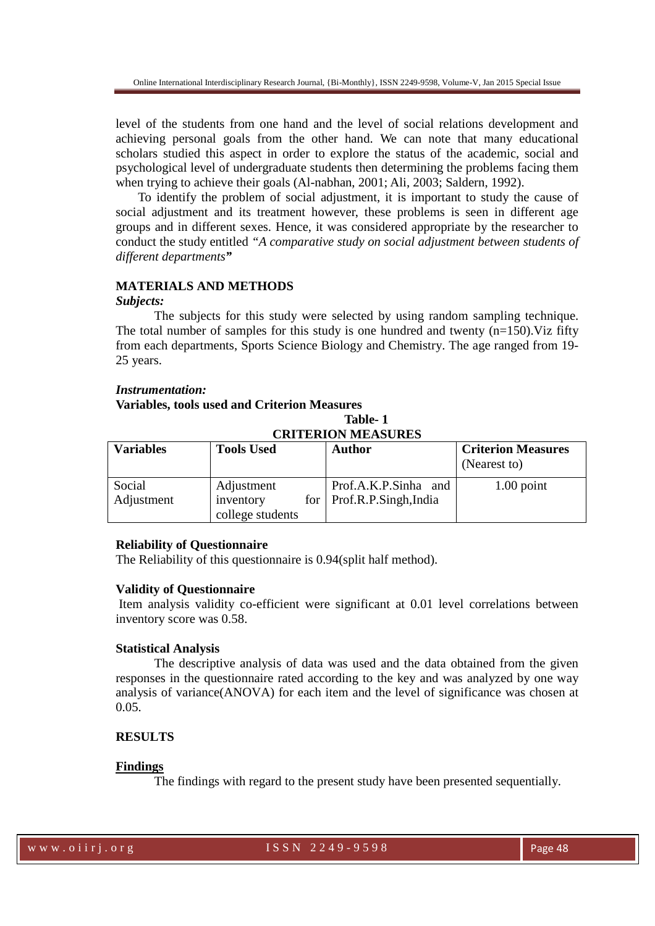level of the students from one hand and the level of social relations development and achieving personal goals from the other hand. We can note that many educational scholars studied this aspect in order to explore the status of the academic, social and psychological level of undergraduate students then determining the problems facing them when trying to achieve their goals (Al-nabhan, 2001; Ali, 2003; Saldern, 1992).

To identify the problem of social adjustment, it is important to study the cause of social adjustment and its treatment however, these problems is seen in different age groups and in different sexes. Hence, it was considered appropriate by the researcher to conduct the study entitled *"A comparative study on social adjustment between students of different departments"*

## **MATERIALS AND METHODS**

#### *Subjects:*

The subjects for this study were selected by using random sampling technique. The total number of samples for this study is one hundred and twenty  $(n=150)$ . Viz fifty from each departments, Sports Science Biology and Chemistry. The age ranged from 19- 25 years.

### *Instrumentation:*

## **Variables, tools used and Criterion Measures**

**Table- 1 CRITERION MEASURES** 

| <b>Variables</b>     | <b>Tools Used</b>                           | <b>Author</b>                                       | <b>Criterion Measures</b><br>(Nearest to) |
|----------------------|---------------------------------------------|-----------------------------------------------------|-------------------------------------------|
| Social<br>Adjustment | Adjustment<br>inventory<br>college students | Prof.A.K.P.Sinha and<br>for   Prof.R.P.Singh, India | $1.00$ point                              |

#### **Reliability of Questionnaire**

The Reliability of this questionnaire is 0.94(split half method).

#### **Validity of Questionnaire**

Item analysis validity co-efficient were significant at 0.01 level correlations between inventory score was 0.58.

## **Statistical Analysis**

The descriptive analysis of data was used and the data obtained from the given responses in the questionnaire rated according to the key and was analyzed by one way analysis of variance(ANOVA) for each item and the level of significance was chosen at 0.05.

## **RESULTS**

## **Findings**

The findings with regard to the present study have been presented sequentially.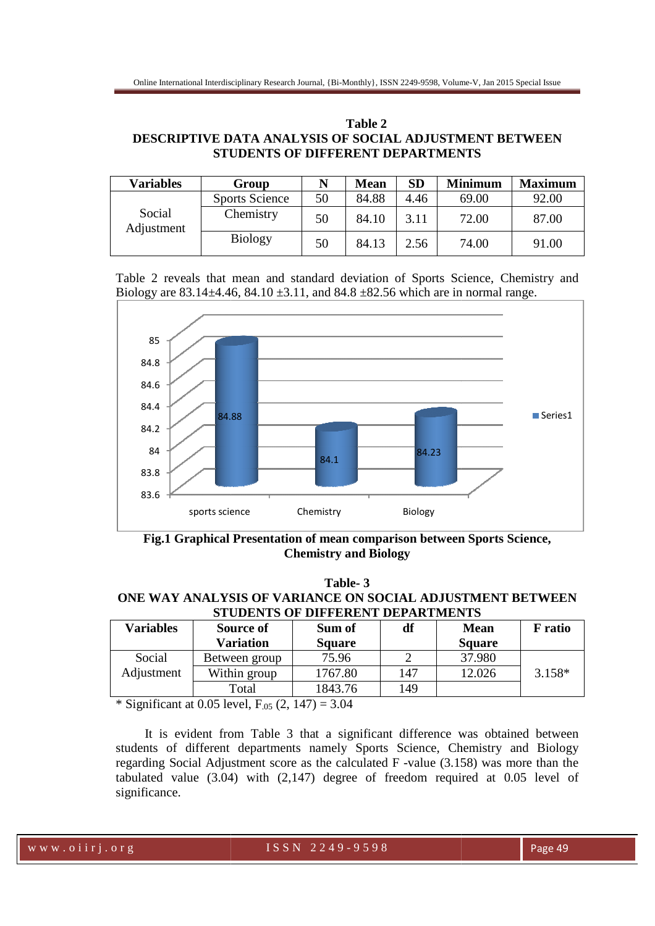| Table 2                                                       |
|---------------------------------------------------------------|
| <b>DESCRIPTIVE DATA ANALYSIS OF SOCIAL ADJUSTMENT BETWEEN</b> |
| STUDENTS OF DIFFERENT DEPARTMENTS                             |

| <b>Variables</b>     | Group                 |    | <b>Mean</b> | <b>SD</b> | <b>Minimum</b> | <b>Maximum</b> |
|----------------------|-----------------------|----|-------------|-----------|----------------|----------------|
| Social<br>Adjustment | <b>Sports Science</b> | 50 | 84.88       | 4.46      | 69.00          | 92.00          |
|                      | Chemistry             | 50 | 84.10       | 3.11      | 72.00          | 87.00          |
|                      | <b>Biology</b>        | 50 | 84.13       | 2.56      | 74.00          | 91.00          |

Table 2 reveals that mean and standard deviation of Sports Science, Chemistry and Biology are  $83.14 \pm 4.46$ ,  $84.10 \pm 3.11$ , and  $84.8 \pm 82.56$  which are in normal range.



Fig.1 Graphical Presentation of mean comparison between Sports Science, **Chemistry and Biology** 

| Table-3                                                   |           |         |    |      |         |  |
|-----------------------------------------------------------|-----------|---------|----|------|---------|--|
| ONE WAY ANALYSIS OF VARIANCE ON SOCIAL ADJUSTMENT BETWEEN |           |         |    |      |         |  |
| <b>STUDENTS OF DIFFERENT DEPARTMENTS</b>                  |           |         |    |      |         |  |
| <b>Variables</b>                                          | Source of | -Sum of | df | Mean | F ratio |  |

| sports science                                                                                                   |                                                                                                                                                                                                                                                                                                                                                  | Chemistry     | Biology |               |                |  |
|------------------------------------------------------------------------------------------------------------------|--------------------------------------------------------------------------------------------------------------------------------------------------------------------------------------------------------------------------------------------------------------------------------------------------------------------------------------------------|---------------|---------|---------------|----------------|--|
| Fig.1 Graphical Presentation of mean comparison between Sports Science,<br><b>Chemistry and Biology</b>          |                                                                                                                                                                                                                                                                                                                                                  |               |         |               |                |  |
| Table-3<br>ONE WAY ANALYSIS OF VARIANCE ON SOCIAL ADJUSTMENT BETWEEN<br><b>STUDENTS OF DIFFERENT DEPARTMENTS</b> |                                                                                                                                                                                                                                                                                                                                                  |               |         |               |                |  |
| <b>Variables</b>                                                                                                 | Source of                                                                                                                                                                                                                                                                                                                                        | Sum of        | df      | <b>Mean</b>   | <b>F</b> ratio |  |
|                                                                                                                  | <b>Variation</b>                                                                                                                                                                                                                                                                                                                                 | <b>Square</b> |         | <b>Square</b> |                |  |
| Social                                                                                                           | Between group                                                                                                                                                                                                                                                                                                                                    | 75.96         | 2       | 37.980        |                |  |
| Adjustment                                                                                                       | Within group                                                                                                                                                                                                                                                                                                                                     | 1767.80       | 147     | 12.026        | $3.158*$       |  |
|                                                                                                                  | Total                                                                                                                                                                                                                                                                                                                                            | 1843.76       | 149     |               |                |  |
|                                                                                                                  | * Significant at 0.05 level, $F_{.05}$ (2, 147) = 3.04                                                                                                                                                                                                                                                                                           |               |         |               |                |  |
|                                                                                                                  | It is evident from Table 3 that a significant difference was obtained between<br>students of different departments namely Sports Science, Chemistry and Biology<br>regarding Social Adjustment score as the calculated F -value (3.158) was more than the<br>tabulated value $(3.04)$ with $(2.147)$ degree of freedom required at 0.05 level of |               |         |               |                |  |

 It is evident from Table 3 that a significant difference was obtained between students of different departments namely Sports Science, Chemistry and Biology It is evident from Table 3 that a significant difference was obtained between<br>students of different departments namely Sports Science, Chemistry and Biology<br>regarding Social Adjustment score as the calculated F -value (3.1 tabulated value (3.04) with (2,147) degree of freedom required at 0.05 level of significance.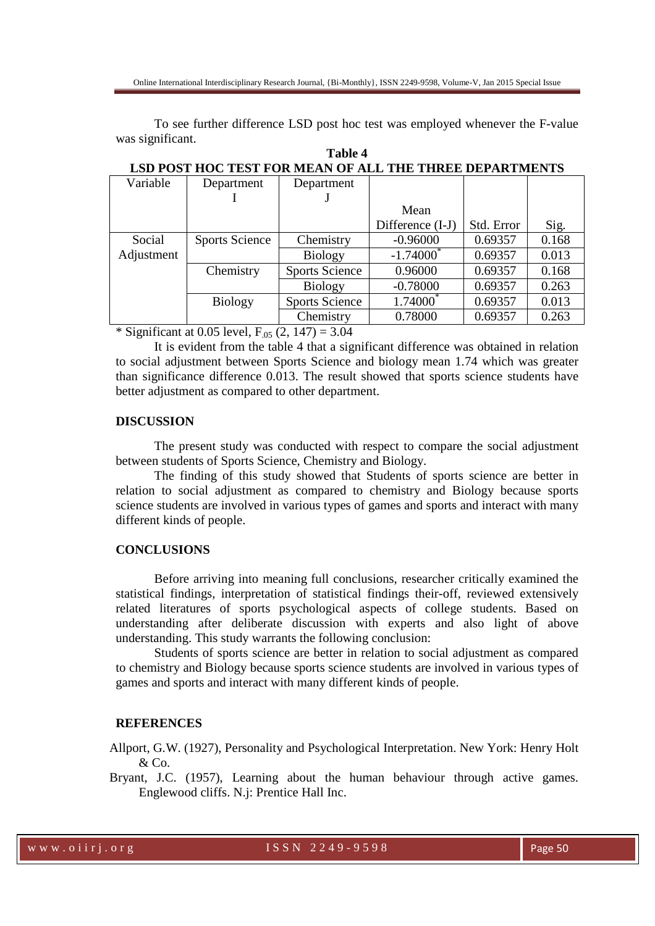To see further difference LSD post hoc test was employed whenever the F-value was significant.

| Variable   | Department            | Department            |                  |            |       |
|------------|-----------------------|-----------------------|------------------|------------|-------|
|            |                       |                       |                  |            |       |
|            |                       |                       | Mean             |            |       |
|            |                       |                       | Difference (I-J) | Std. Error | Sig.  |
| Social     | <b>Sports Science</b> | Chemistry             | $-0.96000$       | 0.69357    | 0.168 |
| Adjustment |                       | <b>Biology</b>        | $-1.74000^*$     | 0.69357    | 0.013 |
|            | Chemistry             | <b>Sports Science</b> | 0.96000          | 0.69357    | 0.168 |
|            |                       | <b>Biology</b>        | $-0.78000$       | 0.69357    | 0.263 |
|            | <b>Biology</b>        | <b>Sports Science</b> | 1.74000          | 0.69357    | 0.013 |
|            |                       | Chemistry             | 0.78000          | 0.69357    | 0.263 |

**Table 4 LSD POST HOC TEST FOR MEAN OF ALL THE THREE DEPARTMENTS** 

\* Significant at 0.05 level,  $F_{.05}$  (2, 147) = 3.04

It is evident from the table 4 that a significant difference was obtained in relation to social adjustment between Sports Science and biology mean 1.74 which was greater than significance difference 0.013. The result showed that sports science students have better adjustment as compared to other department.

## **DISCUSSION**

The present study was conducted with respect to compare the social adjustment between students of Sports Science, Chemistry and Biology.

The finding of this study showed that Students of sports science are better in relation to social adjustment as compared to chemistry and Biology because sports science students are involved in various types of games and sports and interact with many different kinds of people.

## **CONCLUSIONS**

Before arriving into meaning full conclusions, researcher critically examined the statistical findings, interpretation of statistical findings their-off, reviewed extensively related literatures of sports psychological aspects of college students. Based on understanding after deliberate discussion with experts and also light of above understanding. This study warrants the following conclusion:

Students of sports science are better in relation to social adjustment as compared to chemistry and Biology because sports science students are involved in various types of games and sports and interact with many different kinds of people.

## **REFERENCES**

Allport, G.W. (1927), Personality and Psychological Interpretation. New York: Henry Holt & Co.

Bryant, J.C. (1957), Learning about the human behaviour through active games. Englewood cliffs. N.j: Prentice Hall Inc.